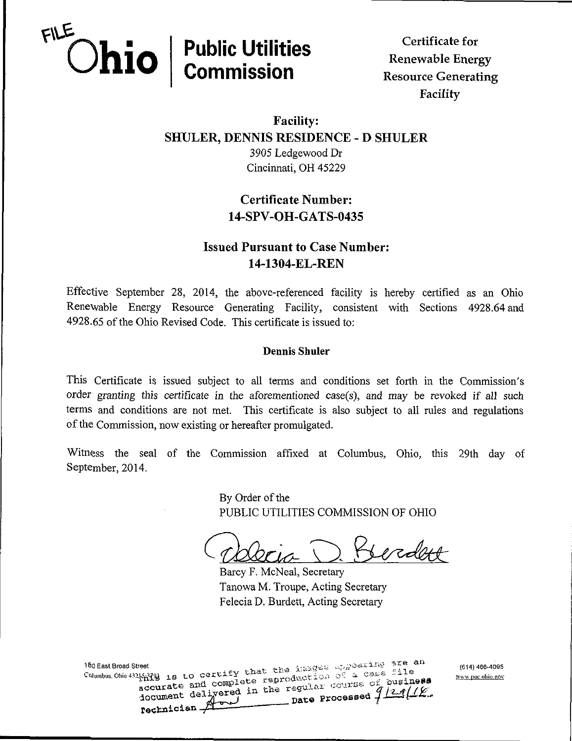

Facility

## Facility: SHULER, DENNIS RESIDENCE - D SHULER 3905 Ledgewood Dr Cincinnati, OH 45229

# Certificate Number: 14-SPV-OH-GATS-0435

## Issued Pursuant to Case Number: 14-1304-EL-REN

Effective September 28, 2014, the above-referenced facility is hereby certified as an Ohio Renewable Energy Resource Generating Facility, consistent with Sections 4928.64 and 4928.65 of the Ohio Revised Code. This certificate is issued to:

#### Dennis Shuler

This Certificate is issued subject to all terms and conditions set forth in the Commission's order granting this certificate in the aforementioned case(s), and may be revoked if all such terms and conditions are not met. This certificate is also subject to all rules and regulations of the Commission, now existing or hereafter promulgated.

Witness the seal of the Commission affixed at Columbus, Ohio, this 29th day of September, 2014.

> By Order of the PUBLIC UTILITIES COMMISSION OF OHIO

Delecia T Serdent

Barcy F. McNeal, Secretary Tanowa M. Troupe, Acting Secretary Felecia D. Burdett, Acting Secretary

Www.puc.ohio.gov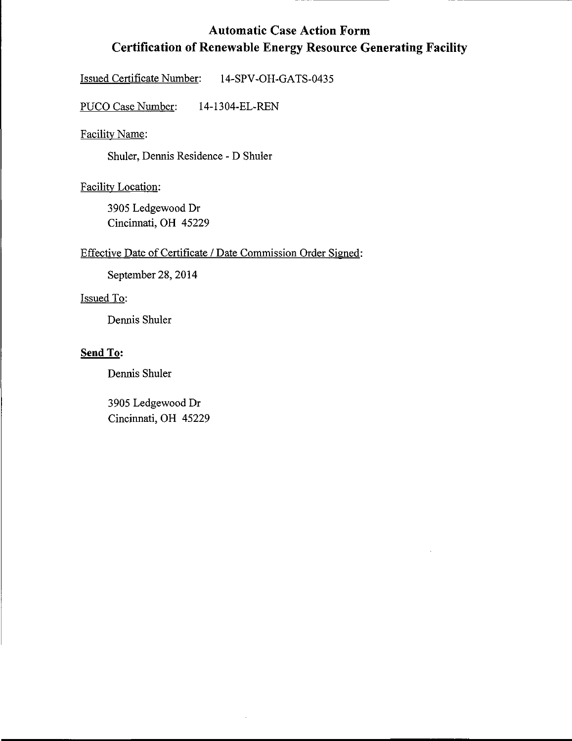## Automatic Case Action Form Certification of Renewable Energy Resource Generating Facility

Issued Certificate Number: 14-SPV-OH-GATS-0435

PUCO Case Number: 14-1304-EL-REN

Facilitv Name:

Shuler, Dennis Residence - D Shuler

Facility Location:

3905 Ledgewood Dr Cincinnati, OH 45229

#### Effective Date of Certificate / Date Commission Order Signed:

September 28, 2014

#### Issued To:

Dennis Shuler

### Send To:

Dermis Shuler

3905 Ledgewood Dr Cincinnati, OH 45229